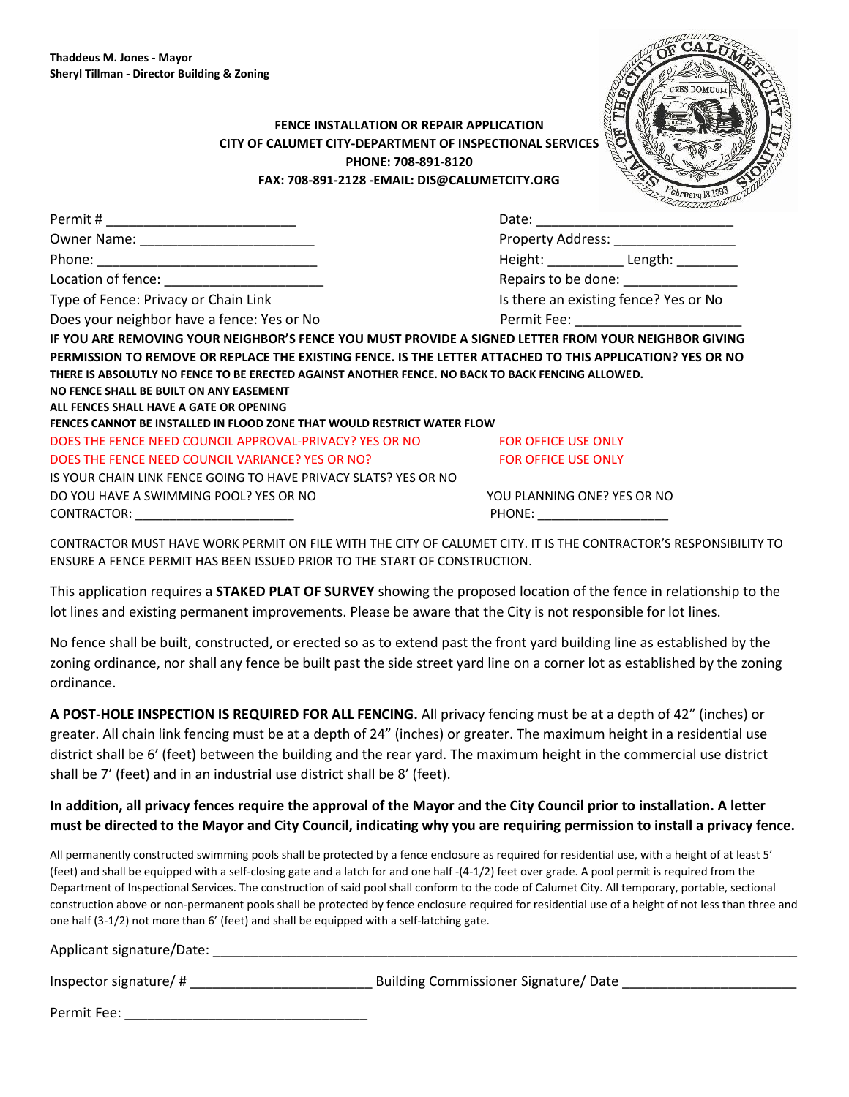Permit Fee: \_\_\_\_\_\_\_\_\_\_\_\_\_\_\_\_\_\_\_\_\_\_\_\_\_\_\_\_\_\_\_\_

## **FENCE INSTALLATION OR REPAIR APPLICATION CITY OF CALUMET CITY-DEPARTMENT OF INSPECTIONAL SERVICES PHONE: 708-891-8120 FAX: 708-891-2128 -EMAIL: DIS@CALUMETCITY.ORG**



|                                                                                                           | Property Address: __________________  |                     |  |
|-----------------------------------------------------------------------------------------------------------|---------------------------------------|---------------------|--|
|                                                                                                           |                                       | Height: Length:     |  |
| Location of fence: ________________________                                                               |                                       | Repairs to be done: |  |
| Type of Fence: Privacy or Chain Link                                                                      | Is there an existing fence? Yes or No |                     |  |
| Does your neighbor have a fence: Yes or No                                                                |                                       |                     |  |
| IF YOU ARE REMOVING YOUR NEIGHBOR'S FENCE YOU MUST PROVIDE A SIGNED LETTER FROM YOUR NEIGHBOR GIVING      |                                       |                     |  |
| PERMISSION TO REMOVE OR REPLACE THE EXISTING FENCE. IS THE LETTER ATTACHED TO THIS APPLICATION? YES OR NO |                                       |                     |  |
| THERE IS ABSOLUTLY NO FENCE TO BE ERECTED AGAINST ANOTHER FENCE. NO BACK TO BACK FENCING ALLOWED.         |                                       |                     |  |
| NO FENCE SHALL BE BUILT ON ANY EASEMENT                                                                   |                                       |                     |  |
| ALL FENCES SHALL HAVE A GATE OR OPENING                                                                   |                                       |                     |  |
| FENCES CANNOT BE INSTALLED IN FLOOD ZONE THAT WOULD RESTRICT WATER FLOW                                   |                                       |                     |  |
| DOES THE FENCE NEED COUNCIL APPROVAL-PRIVACY? YES OR NO FOR OFFICE USE ONLY                               |                                       |                     |  |
| DOES THE FENCE NEED COUNCIL VARIANCE? YES OR NO?                                                          | <b>EDR OFFICE USE ONLY</b>            |                     |  |
| IS YOUR CHAIN LINK FENCE GOING TO HAVE PRIVACY SLATS? YES OR NO                                           |                                       |                     |  |
| DO YOU HAVE A SWIMMING POOL? YES OR NO                                                                    | YOU PLANNING ONE? YES OR NO           |                     |  |
| CONTRACTOR: ___________________________                                                                   | PHONE: ___________________            |                     |  |

CONTRACTOR MUST HAVE WORK PERMIT ON FILE WITH THE CITY OF CALUMET CITY. IT IS THE CONTRACTOR'S RESPONSIBILITY TO ENSURE A FENCE PERMIT HAS BEEN ISSUED PRIOR TO THE START OF CONSTRUCTION.

This application requires a **STAKED PLAT OF SURVEY** showing the proposed location of the fence in relationship to the lot lines and existing permanent improvements. Please be aware that the City is not responsible for lot lines.

No fence shall be built, constructed, or erected so as to extend past the front yard building line as established by the zoning ordinance, nor shall any fence be built past the side street yard line on a corner lot as established by the zoning ordinance.

**A POST-HOLE INSPECTION IS REQUIRED FOR ALL FENCING.** All privacy fencing must be at a depth of 42" (inches) or greater. All chain link fencing must be at a depth of 24" (inches) or greater. The maximum height in a residential use district shall be 6' (feet) between the building and the rear yard. The maximum height in the commercial use district shall be 7' (feet) and in an industrial use district shall be 8' (feet).

**In addition, all privacy fences require the approval of the Mayor and the City Council prior to installation. A letter must be directed to the Mayor and City Council, indicating why you are requiring permission to install a privacy fence.** 

All permanently constructed swimming pools shall be protected by a fence enclosure as required for residential use, with a height of at least 5' (feet) and shall be equipped with a self-closing gate and a latch for and one half -(4-1/2) feet over grade. A pool permit is required from the Department of Inspectional Services. The construction of said pool shall conform to the code of Calumet City. All temporary, portable, sectional construction above or non-permanent pools shall be protected by fence enclosure required for residential use of a height of not less than three and one half (3-1/2) not more than 6' (feet) and shall be equipped with a self-latching gate.

| Applicant signature/Date: |                                      |
|---------------------------|--------------------------------------|
| Inspector signature/ $#$  | Building Commissioner Signature/Date |